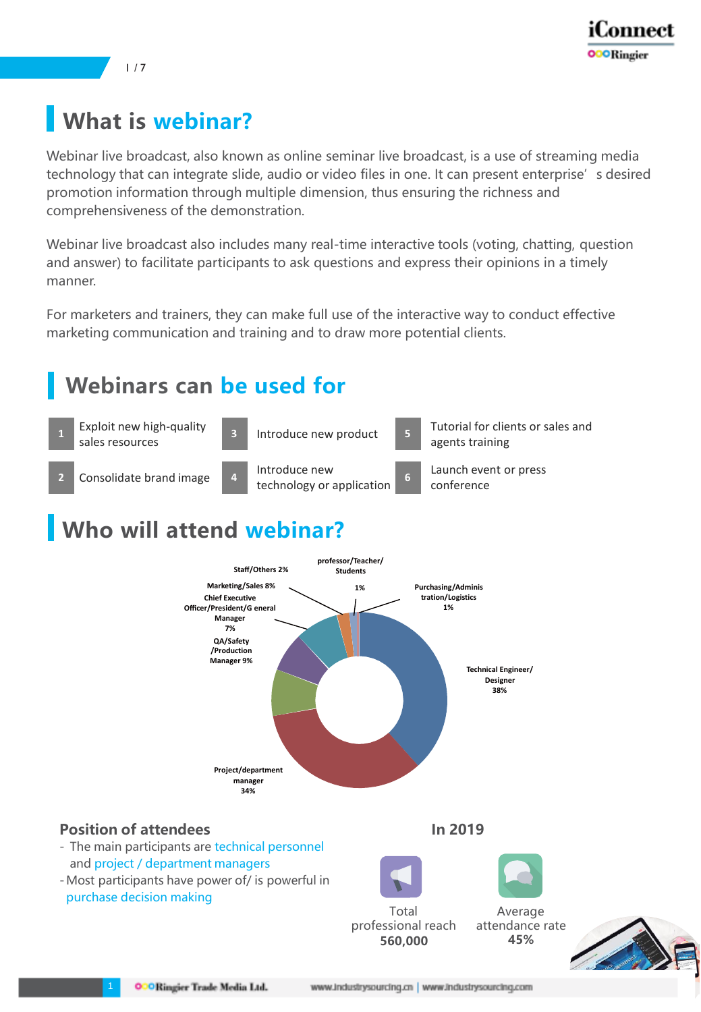

1 / 7

# **What is webinar?**

Webinar live broadcast, also known as online seminar live broadcast, is a use of streaming media technology that can integrate slide, audio or video files in one. It can present enterprise's desired promotion information through multiple dimension, thus ensuring the richness and comprehensiveness of the demonstration.

Webinar live broadcast also includes many real-time interactive tools (voting, chatting, question and answer) to facilitate participants to ask questions and express their opinions in a timely manner.

For marketers and trainers, they can make full use of the interactive way to conduct effective marketing communication and training and to draw more potential clients.

## **Webinars can be used for**



# **Who will attend webinar?**

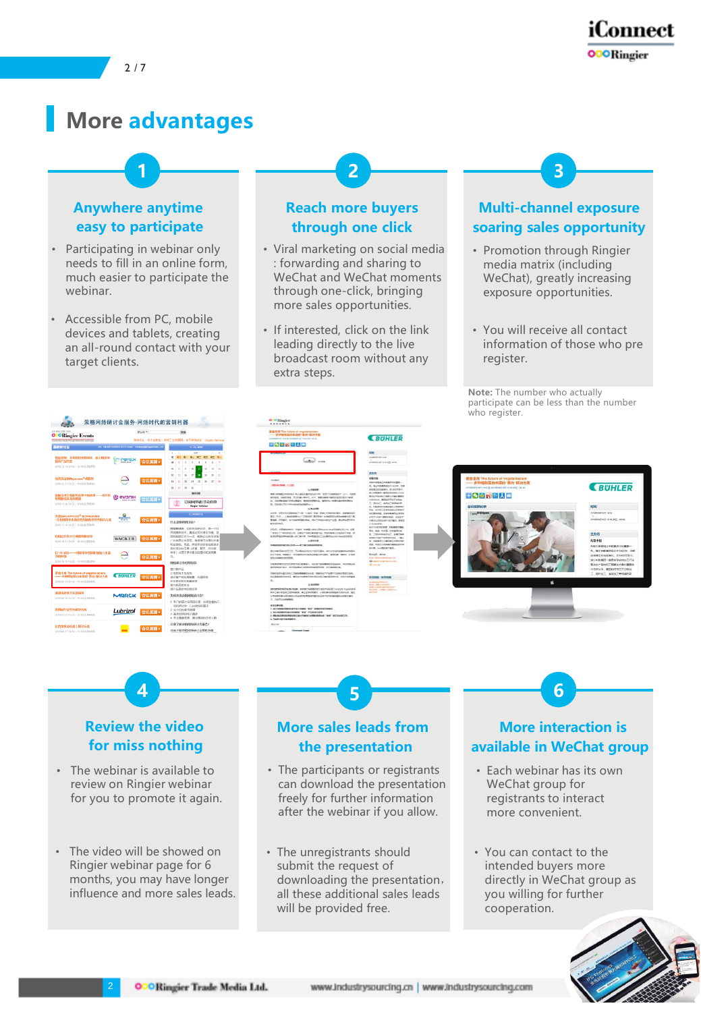



## **More advantages**

### **Anywhere anytime easy to participate**

- Participating in webinar only needs to fill in an online form, much easier to participate the webinar.
- Accessible from PC, mobile devices and tablets, creating an all-round contact with your target clients.

性能保障:利<br>提高产品性能

#### **Reach more buyers through one click**

**1 2 3**

- Viral marketing on social media : forwarding and sharing to WeChat and WeChat moments through one-click, bringing more sales opportunities.
- If interested, click on the link leading directly to the live broadcast room without any extra steps.

#### **Multi-channel exposure soaring sales opportunity**

- Promotion through Ringier media matrix (including WeChat), greatly increasing exposure opportunities.
- You will receive all contact information of those who pre register.

**Note:** The number who actually participate can be less than the number who register.

**BUHLER** 



#### **Review the video for miss nothing**

- The webinar is available to review on Ringier webinar for you to promote it again.
- The video will be showed on Ringier webinar page for 6 months, you may have longer influence and more sales leads.

2

### **More sales leads from the presentation**

**4 5 6**

- The participants or registrants can download the presentation freely for further information after the webinar if you allow.
- The unregistrants should submit the request of downloading the presentation, all these additional sales leads will be provided free.

### **More interaction is available in WeChat group**

- Each webinar has its own WeChat group for registrants to interact more convenient.
- You can contact to the intended buyers more directly in WeChat group as you willing for further cooperation.



**OOORingier Trade Media Ltd.**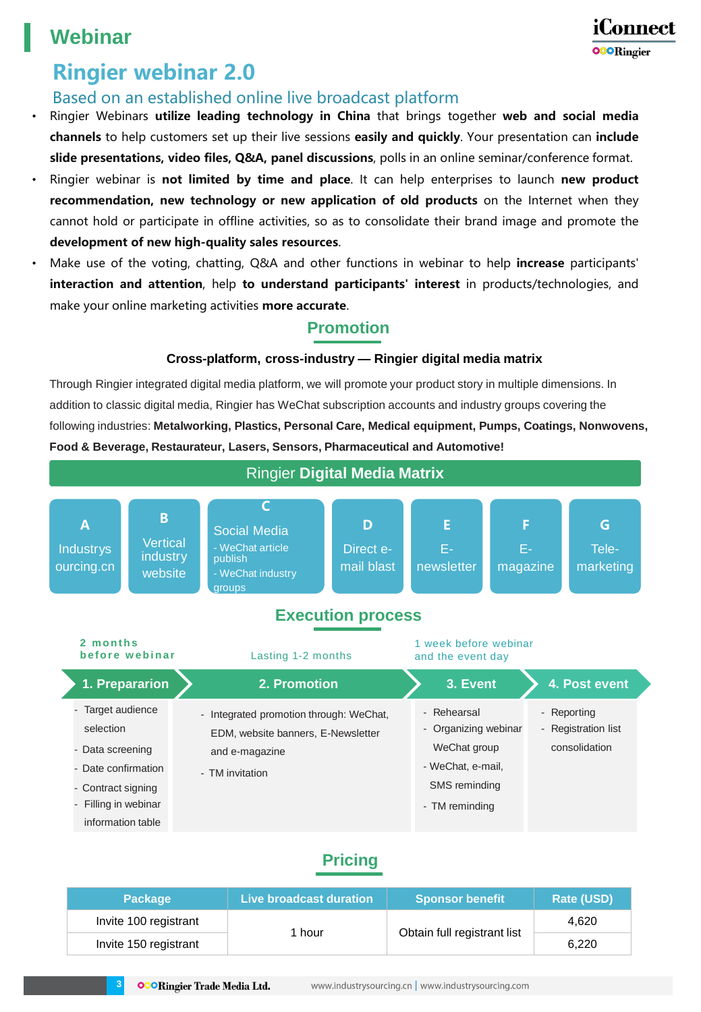## **Webinar**

## iConnect **OOORingier**

# **Ringier webinar 2.0**

### Based on an established online live broadcast platform

- Ringier Webinars **utilize leading technology in China** that brings together **web and social media channels** to help customers set up their live sessions **easily and quickly**. Your presentation can **include slide presentations, video files, Q&A, panel discussions**, polls in an online seminar/conference format.
- Ringier webinar is **not limited by time and place**. It can help enterprises to launch **new product recommendation, new technology or new application of old products** on the Internet when they cannot hold or participate in offline activities, so as to consolidate their brand image and promote the **development of new high-quality sales resources**.
- Make use of the voting, chatting, Q&A and other functions in webinar to help **increase** participants' **interaction and attention**, help **to understand participants' interest** in products/technologies, and make your online marketing activities **more accurate**.

### **Promotion**

### **Cross-platform, cross-industry — Ringier digital media matrix**

Through Ringier integrated digital media platform, we will promote your product story in multiple dimensions. In addition to classic digital media, Ringier has WeChat subscription accounts and industry groups covering the following industries: **Metalworking, Plastics, Personal Care, Medical equipment, Pumps, Coatings, Nonwovens, Food & Beverage, Restaurateur, Lasers, Sensors, Pharmaceutical and Automotive!**



### **Pricing**

| <b>Package</b>        | Live broadcast duration | <b>Sponsor benefit</b>      | Rate (USD) |
|-----------------------|-------------------------|-----------------------------|------------|
| Invite 100 registrant | 1 hour                  | Obtain full registrant list | 4.620      |
| Invite 150 registrant |                         |                             | 6,220      |

**OOORingier Trade Media Ltd.** 

**3**